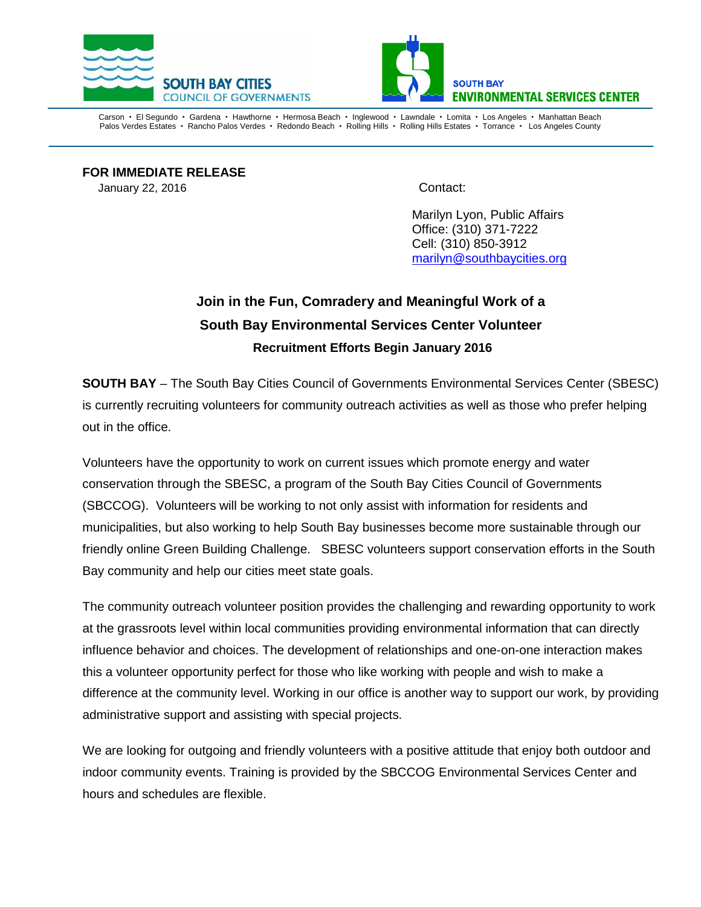



Carson • El Segundo • Gardena • Hawthorne • Hermosa Beach • Inglewood • Lawndale • Lomita • Los Angeles • Manhattan Beach Palos Verdes Estates · Rancho Palos Verdes · Redondo Beach · Rolling Hills · Rolling Hills Estates · Torrance · Los Angeles County

**FOR IMMEDIATE RELEASE** January 22, 2016 **Contact:** 

Marilyn Lyon, Public Affairs Office: (310) 371-7222 Cell: (310) 850-3912 [marilyn@southbaycities.org](mailto:marilyn@southbaycities.org)

## **Join in the Fun, Comradery and Meaningful Work of a South Bay Environmental Services Center Volunteer Recruitment Efforts Begin January 2016**

**SOUTH BAY** – The South Bay Cities Council of Governments Environmental Services Center (SBESC) is currently recruiting volunteers for community outreach activities as well as those who prefer helping out in the office.

Volunteers have the opportunity to work on current issues which promote energy and water conservation through the SBESC, a program of the South Bay Cities Council of Governments (SBCCOG). Volunteers will be working to not only assist with information for residents and municipalities, but also working to help South Bay businesses become more sustainable through our friendly online Green Building Challenge. SBESC volunteers support conservation efforts in the South Bay community and help our cities meet state goals.

The community outreach volunteer position provides the challenging and rewarding opportunity to work at the grassroots level within local communities providing environmental information that can directly influence behavior and choices. The development of relationships and one-on-one interaction makes this a volunteer opportunity perfect for those who like working with people and wish to make a difference at the community level. Working in our office is another way to support our work, by providing administrative support and assisting with special projects.

We are looking for outgoing and friendly volunteers with a positive attitude that enjoy both outdoor and indoor community events. Training is provided by the SBCCOG Environmental Services Center and hours and schedules are flexible.